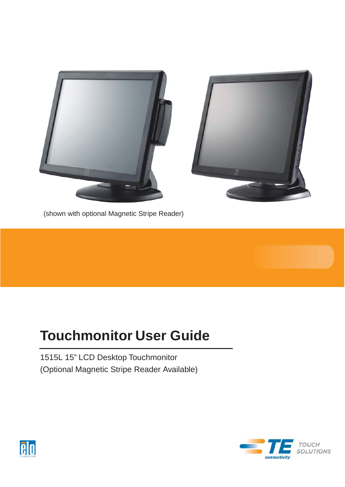

(shown with optional Magnetic Stripe Reader)

# **Touchmonitor User Guide**

1515L 15" LCD Desktop Touchmonitor (Optional Magnetic Stripe Reader Available)



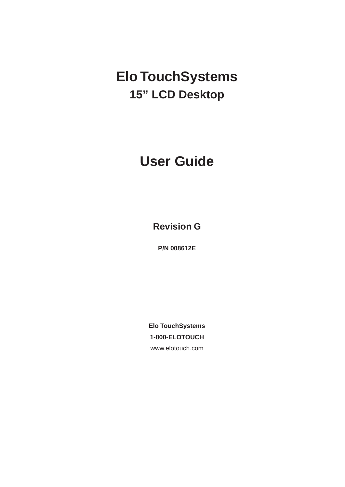# **Elo TouchSystems 15" LCD Desktop**

# **User Guide**

**Revision G**

**P/N 008612E**

**Elo TouchSystems 1-800-ELOTOUCH** [www.elotouch.com](http://www.elotouch.com/)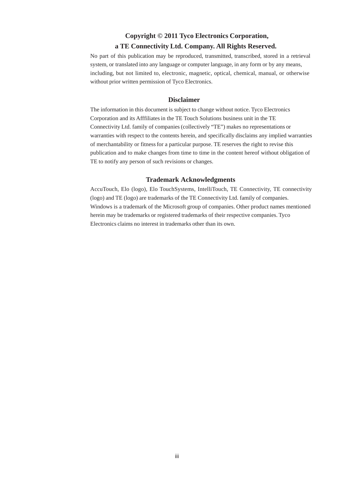### **Copyright © 2011 Tyco Electronics Corporation, a TE Connectivity Ltd. Company. All Rights Reserved.**

No part of this publication may be reproduced, transmitted, transcribed, stored in a retrieval system, or translated into any language or computer language, in any form or by any means, including, but not limited to, electronic, magnetic, optical, chemical, manual, or otherwise without prior written permission of Tyco Electronics.

### **Disclaimer**

The information in this document is subject to change without notice. Tyco Electronics Corporation and its Afffiliates in the TE Touch Solutions business unit in the TE Connectivity Ltd. family of companies (collectively "TE") makes no representations or warranties with respect to the contents herein, and specifically disclaims any implied warranties of merchantability or fitness for a particular purpose. TE reserves the right to revise this publication and to make changes from time to time in the content hereof without obligation of TE to notify any person of such revisions or changes.

### **Trademark Acknowledgments**

AccuTouch, Elo (logo), Elo TouchSystems, IntelliTouch, TE Connectivity, TE connectivity (logo) and TE (logo) are trademarks of the TE Connectivity Ltd. family of companies. Windows is a trademark of the Microsoft group of companies. Other product names mentioned herein may be trademarks or registered trademarks of their respective companies. Tyco Electronics claims no interest in trademarks other than its own.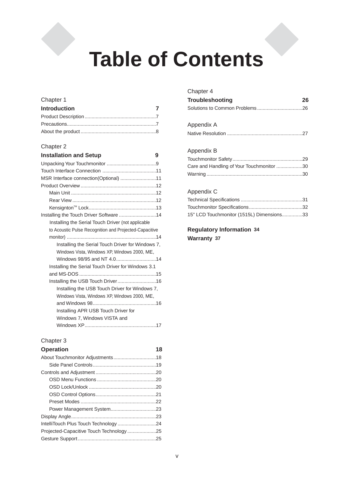# **Table of Contents**

### Chapter 1

| <b>Introduction</b> | $\overline{7}$ |
|---------------------|----------------|
|                     |                |
|                     |                |
|                     |                |

### Chapter 2

| <b>Installation and Setup</b>                          | 9 |
|--------------------------------------------------------|---|
|                                                        |   |
|                                                        |   |
| MSR Interface connection(Optional) 11                  |   |
|                                                        |   |
|                                                        |   |
|                                                        |   |
|                                                        |   |
| Installing the Touch Driver Software 14                |   |
| Installing the Serial Touch Driver (not applicable     |   |
| to Acoustic Pulse Recognition and Projected-Capacitive |   |
|                                                        |   |
| Installing the Serial Touch Driver for Windows 7,      |   |
| Windows Vista, Windows XP, Windows 2000, ME,           |   |
|                                                        |   |
| Installing the Serial Touch Driver for Windows 3.1     |   |
|                                                        |   |
| Installing the USB Touch Driver16                      |   |
| Installing the USB Touch Driver for Windows 7,         |   |
| Windows Vista, Windows XP, Windows 2000, ME,           |   |
|                                                        |   |
| Installing APR USB Touch Driver for                    |   |
| Windows 7, Windows VISTA and                           |   |
|                                                        |   |

### Chapter 3

### **Operation 18** About Touchmonitor Adjustments ...............................18 Side Panel Controls ..............................................19 Controls and Adjustment ............................................20 OSD Menu Functions ...........................................20 OSD Lock/Unlock .................................................20 OSD Control Options............................................21 Preset Modes .......................................................22 Power Management System.................................23 Display Angle..............................................................23 IntelliTouch Plus Touch Technology ............................24 Projected-Capacitive Touch Technology .....................25 Gesture Support .........................................................25

### Chapter 4

| Troubleshooting | 26 |
|-----------------|----|
|                 |    |

| Appendix A |
|------------|
|            |

### Appendix B

| Care and Handling of Your Touchmonitor 30 |  |
|-------------------------------------------|--|
|                                           |  |

### Appendix C

| 15" LCD Touchmonitor (1515L) Dimensions33 |  |
|-------------------------------------------|--|

**Regulatory Information 34 Warranty 37**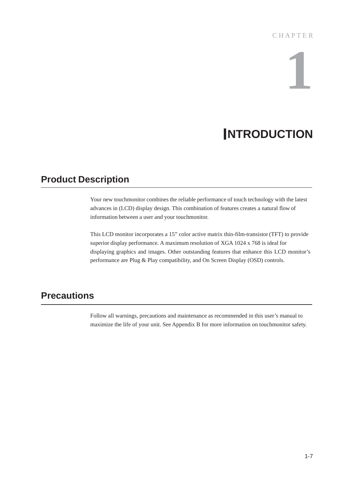# **1**

# **INTRODUCTION**

### **Product Description**

Your new touchmonitor combines the reliable performance of touch technology with the latest advances in (LCD) display design. This combination of features creates a natural flow of information between a user and your touchmonitor.

This LCD monitor incorporates a 15" color active matrix thin-film-transistor (TFT) to provide superior display performance. A maximum resolution of XGA 1024 x 768 is ideal for displaying graphics and images. Other outstanding features that enhance this LCD monitor's performance are Plug & Play compatibility, and On Screen Display (OSD) controls.

### **Precautions**

Follow all warnings, precautions and maintenance as recommended in this user's manual to maximize the life of your unit. See Appendix B for more information on touchmonitor safety.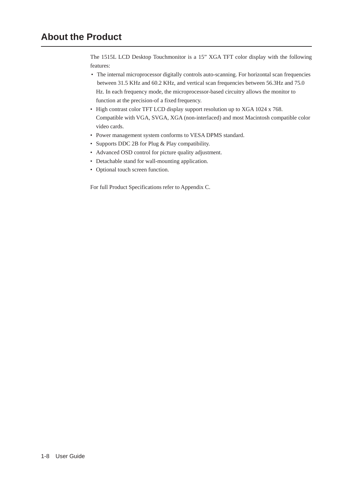### **About the Product**

The 1515L LCD Desktop Touchmonitor is a 15" XGA TFT color display with the following features:

- The internal microprocessor digitally controls auto-scanning. For horizontal scan frequencies between 31.5 KHz and 60.2 KHz, and vertical scan frequencies between 56.3Hz and 75.0 Hz. In each frequency mode, the microprocessor-based circuitry allows the monitor to function at the precision-of a fixed frequency.
- High contrast color TFT LCD display support resolution up to XGA 1024 x 768. Compatible with VGA, SVGA, XGA (non-interlaced) and most Macintosh compatible color video cards.
- Power management system conforms to VESA DPMS standard.
- Supports DDC 2B for Plug & Play compatibility.
- Advanced OSD control for picture quality adjustment.
- Detachable stand for wall-mounting application.
- Optional touch screen function.

For full Product Specifications refer to Appendix C.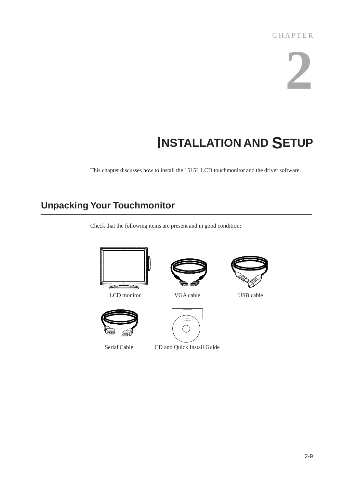# **2**

# **INSTALLATION AND SETUP**

This chapter discusses how to install the 1515L LCD touchmonitor and the driver software.

## **Unpacking Your Touchmonitor**

Check that the following items are present and in good condition:



LCD monitor **VGA cable** USB cable









Serial Cable CD and Quick Install Guide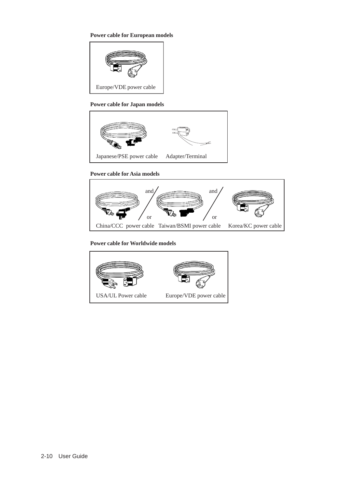### **Power cable for European models**



### **Power cable for Japan models**



### **Power cable for Asia models**



### **Power cable for Worldwide models**

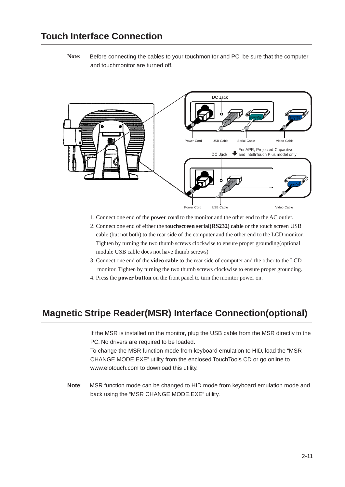**Note:** Before connecting the cables to your touchmonitor and PC, be sure that the computer and touchmonitor are turned off.



- 1. Connect one end of the **power cord** to the monitor and the other end to the AC outlet.
- 2. Connect one end of either the **touchscreen serial(RS232) cabl**e or the touch screen USB cable (but not both) to the rear side of the computer and the other end to the LCD monitor. Tighten by turning the two thumb screws clockwise to ensure proper grounding(optional module USB cable does not have thumb screws)
- 3. Connect one end of the **video cable** to the rear side of computer and the other to the LCD monitor. Tighten by turning the two thumb screws clockwise to ensure proper grounding.
- 4. Press the **power button** on the front panel to turn the monitor power on.

### **Magnetic Stripe Reader(MSR) Interface Connection(optional)**

If the MSR is installed on the monitor, plug the USB cable from the MSR directly to the PC. No drivers are required to be loaded.

To change the MSR function mode from keyboard emulation to HID, load the "MSR CHANGE MODE.EXE" utility from the enclosed TouchTools CD or go online t[o](http://www.elotouch.com/) [www.](http://www.elotouch.com/)elotouch.com to download this utility.

**Note**: MSR function mode can be changed to HID mode from keyboard emulation mode and back using the "MSR CHANGE MODE.EXE" utility.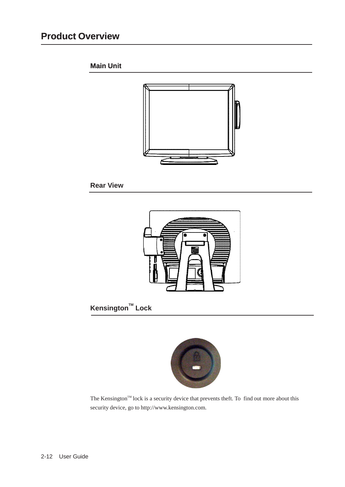### **Product Overview**

### **Main Unit**



### **Rear View**



### **T M Kensington Lock**



The Kensington<sup>™</sup> lock is a security device that prevents theft. To find out more about this security device, go to [http://www.kensington.com.](http://www.kensington.com/)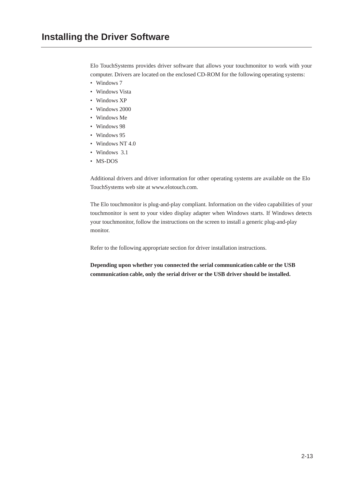Elo TouchSystems provides driver software that allows your touchmonitor to work with your computer. Drivers are located on the enclosed CD-ROM for the following operating systems:

- Windows 7
- Windows Vista
- Windows XP
- Windows 2000
- Windows Me
- Windows 98
- Windows 95
- Windows NT 4.0
- Windows 3.1
- MS-DOS

Additional drivers and driver information for other operating systems are available on the Elo [TouchSystems web site at www.elotouch.com.](http://www.elotouch.com/)

The Elo touchmonitor is plug-and-play compliant. Information on the video capabilities of your touchmonitor is sent to your video display adapter when Windows starts. If Windows detects your touchmonitor, follow the instructions on the screen to install a generic plug-and-play monitor.

Refer to the following appropriate section for driver installation instructions.

**Depending upon whether you connected the serial communication cable or the USB communication cable, only the serial driver or the USB driver should be installed.**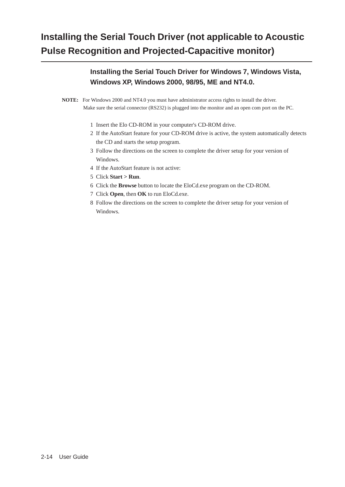### **Installing the Serial Touch Driver (not applicable to Acoustic Pulse Recognition and Projected-Capacitive monitor)**

### **Installing the Serial Touch Driver for Windows 7, Windows Vista, Windows XP, Windows 2000, 98/95, ME and NT4.0.**

**NOTE:** For Windows 2000 and NT4.0 you must have administrator access rights to install the driver. Make sure the serial connector (RS232) is plugged into the monitor and an open com port on the PC.

- 1 Insert the Elo CD-ROM in your computer's CD-ROM drive.
- 2 If the AutoStart feature for your CD-ROM drive is active, the system automatically detects the CD and starts the setup program.
- 3 Follow the directions on the screen to complete the driver setup for your version of Windows.
- 4 If the AutoStart feature is not active:
- 5 Click **Start > Run**.
- 6 Click the **Browse** button to locate the EloCd.exe program on the CD-ROM.
- 7 Click **Open**, then **OK** to run EloCd.exe.
- 8 Follow the directions on the screen to complete the driver setup for your version of Windows.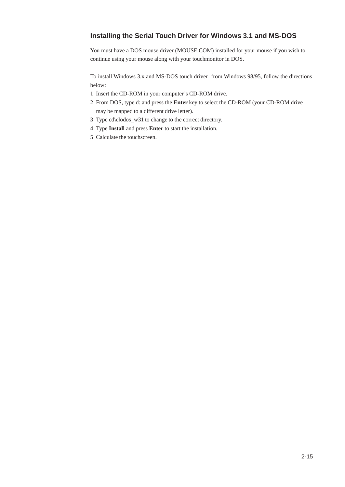### **Installing the Serial Touch Driver for Windows 3.1 and MS-DOS**

You must have a DOS mouse driver (MOUSE.COM) installed for your mouse if you wish to continue using your mouse along with your touchmonitor in DOS.

To install Windows 3.x and MS-DOS touch driver from Windows 98/95, follow the directions below:

- 1 Insert the CD-ROM in your computer's CD-ROM drive.
- 2 From DOS, type d: and press the **Enter** key to select the CD-ROM (your CD-ROM drive may be mapped to a different drive letter).
- 3 Type cd\elodos\_w31 to change to the correct directory.
- 4 Type **Install** and press **Enter** to start the installation.
- 5 Calculate the touchscreen.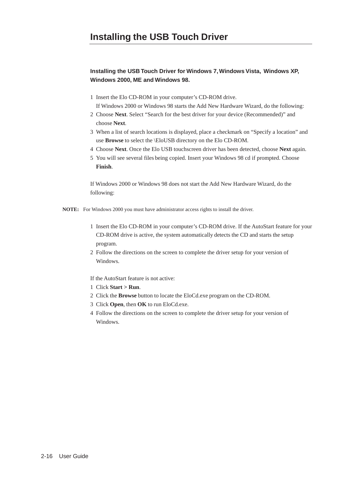### **Installing the USB Touch Driver for Windows 7, Windows Vista, Windows XP, Windows 2000, ME and Windows 98.**

1 Insert the Elo CD-ROM in your computer's CD-ROM drive.

If Windows 2000 or Windows 98 starts the Add New Hardware Wizard, do the following:

- 2 Choose **Next**. Select "Search for the best driver for your device (Recommended)" and choose **Next**.
- 3 When a list of search locations is displayed, place a checkmark on "Specify a location" and use **Browse** to select the \EloUSB directory on the Elo CD-ROM.
- 4 Choose **Next**. Once the Elo USB touchscreen driver has been detected, choose **Next** again.
- 5 You will see several files being copied. Insert your Windows 98 cd if prompted. Choose **Finish**.

If Windows 2000 or Windows 98 does not start the Add New Hardware Wizard, do the following:

- **NOTE:** For Windows 2000 you must have administrator access rights to install the driver.
	- 1 Insert the Elo CD-ROM in your computer's CD-ROM drive. If the AutoStart feature for your CD-ROM drive is active, the system automatically detects the CD and starts the setup program.
	- 2 Follow the directions on the screen to complete the driver setup for your version of Windows.

If the AutoStart feature is not active:

- 1 Click **Start > Run**.
- 2 Click the **Browse** button to locate the EloCd.exe program on the CD-ROM.
- 3 Click **Open**, then **OK** to run EloCd.exe.
- 4 Follow the directions on the screen to complete the driver setup for your version of Windows.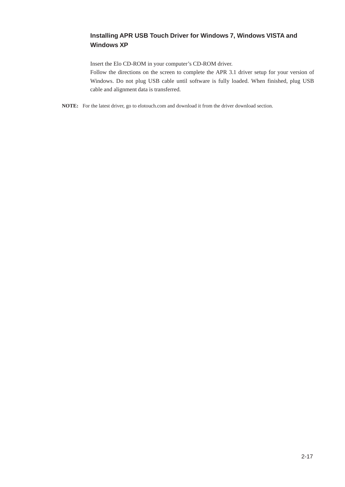### **Installing APR USB Touch Driver for Windows 7, Windows VISTA and Windows XP**

Insert the Elo CD-ROM in your computer's CD-ROM driver.

Follow the directions on the screen to complete the APR 3.1 driver setup for your version of Windows. Do not plug USB cable until software is fully loaded. When finished, plug USB cable and alignment data is transferred.

**NOTE:** For the latest driver, go to elotouch.com and download it from the driver download section.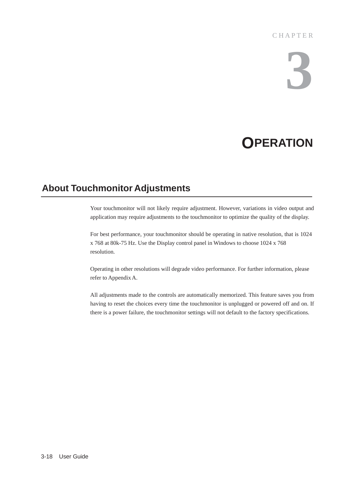### C H A P T E R

# **3**

# **OPERATION**

### **About Touchmonitor Adjustments**

Your touchmonitor will not likely require adjustment. However, variations in video output and application may require adjustments to the touchmonitor to optimize the quality of the display.

For best performance, your touchmonitor should be operating in native resolution, that is 1024 x 768 at 80k-75 Hz. Use the Display control panel in Windows to choose 1024 x 768 resolution.

Operating in other resolutions will degrade video performance. For further information, please refer to Appendix A.

All adjustments made to the controls are automatically memorized. This feature saves you from having to reset the choices every time the touchmonitor is unplugged or powered off and on. If there is a power failure, the touchmonitor settings will not default to the factory specifications.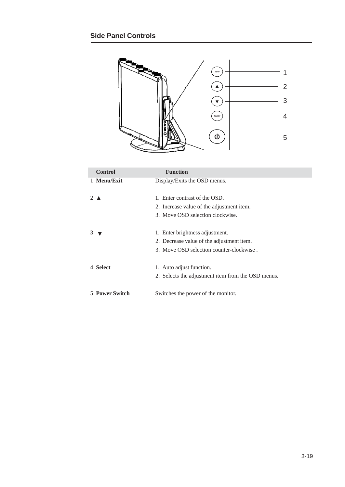

| <b>Control</b>        | <b>Function</b>                                    |
|-----------------------|----------------------------------------------------|
| 1 Menu/Exit           | Display/Exits the OSD menus.                       |
|                       |                                                    |
| 2 $\triangle$         | 1. Enter contrast of the OSD.                      |
|                       | 2. Increase value of the adjustment item.          |
|                       | 3. Move OSD selection clockwise.                   |
|                       |                                                    |
| 3                     | 1. Enter brightness adjustment.                    |
|                       | 2. Decrease value of the adjustment item.          |
|                       | 3. Move OSD selection counter-clockwise.           |
|                       |                                                    |
| 4 Select              | 1. Auto adjust function.                           |
|                       | 2. Selects the adjustment item from the OSD menus. |
| <b>5 Power Switch</b> | Switches the power of the monitor.                 |
|                       |                                                    |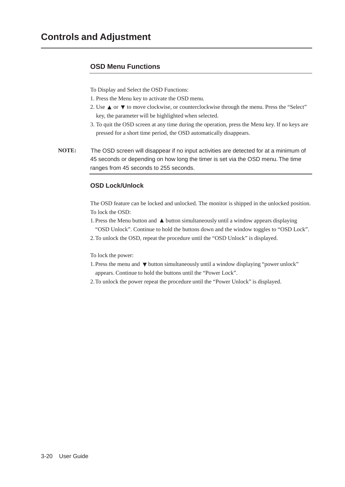### **OSD Menu Functions**

To Display and Select the OSD Functions:

- 1. Press the Menu key to activate the OSD menu.
- 2. Use  $\blacktriangle$  or  $\nabla$  to move clockwise, or counterclockwise through the menu. Press the "Select" key, the parameter will be highlighted when selected.
- 3. To quit the OSD screen at any time during the operation, press the Menu key. If no keys are pressed for a short time period, the OSD automatically disappears.
- **NOTE:** The OSD screen will disappear if no input activities are detected for at a minimum of 45 seconds or depending on how long the timer is set via the OSD menu. The time ranges from 45 seconds to 255 seconds.

### **OSD Lock/Unlock**

The OSD feature can be locked and unlocked. The monitor is shipped in the unlocked position. To lock the OSD:

- 1. Press the Menu button and  $\triangle$  button simultaneously until a window appears displaying "OSD Unlock". Continue to hold the buttons down and the window toggles to "OSD Lock".
- 2. To unlock the OSD, repeat the procedure until the "OSD Unlock" is displayed.

To lock the power:

- 1. Press the menu and  $\blacktriangledown$  button simultaneously until a window displaying "power unlock" appears. Continue to hold the buttons until the "Power Lock".
- 2. To unlock the power repeat the procedure until the "Power Unlock" is displayed.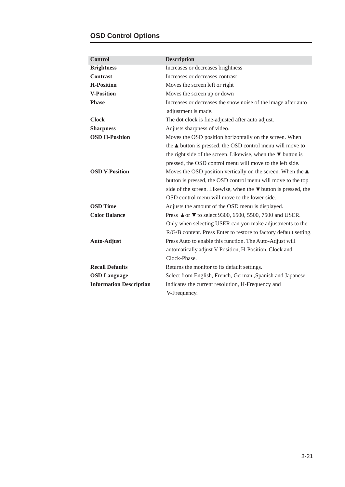### **OSD Control Options**

| <b>Control</b>                 | <b>Description</b>                                                         |  |  |
|--------------------------------|----------------------------------------------------------------------------|--|--|
| <b>Brightness</b>              | Increases or decreases brightness                                          |  |  |
| <b>Contrast</b>                | Increases or decreases contrast                                            |  |  |
| <b>H-Position</b>              | Moves the screen left or right                                             |  |  |
| <b>V-Position</b>              | Moves the screen up or down                                                |  |  |
| <b>Phase</b>                   | Increases or decreases the snow noise of the image after auto              |  |  |
|                                | adjustment is made.                                                        |  |  |
| <b>Clock</b>                   | The dot clock is fine-adjusted after auto adjust.                          |  |  |
| <b>Sharpness</b>               | Adjusts sharpness of video.                                                |  |  |
| <b>OSD H-Position</b>          | Moves the OSD position horizontally on the screen. When                    |  |  |
|                                | the $\triangle$ button is pressed, the OSD control menu will move to       |  |  |
|                                | the right side of the screen. Likewise, when the $\nabla$ button is        |  |  |
|                                | pressed, the OSD control menu will move to the left side.                  |  |  |
| <b>OSD V-Position</b>          | Moves the OSD position vertically on the screen. When the $\blacktriangle$ |  |  |
|                                | button is pressed, the OSD control menu will move to the top               |  |  |
|                                | side of the screen. Likewise, when the $\nabla$ button is pressed, the     |  |  |
|                                | OSD control menu will move to the lower side.                              |  |  |
| <b>OSD</b> Time                | Adjusts the amount of the OSD menu is displayed.                           |  |  |
| <b>Color Balance</b>           | Press <b>△</b> or ▼ to select 9300, 6500, 5500, 7500 and USER.             |  |  |
|                                | Only when selecting USER can you make adjustments to the                   |  |  |
|                                | R/G/B content. Press Enter to restore to factory default setting.          |  |  |
| <b>Auto-Adjust</b>             | Press Auto to enable this function. The Auto-Adjust will                   |  |  |
|                                | automatically adjust V-Position, H-Position, Clock and                     |  |  |
|                                | Clock-Phase.                                                               |  |  |
| <b>Recall Defaults</b>         | Returns the monitor to its default settings.                               |  |  |
| <b>OSD Language</b>            | Select from English, French, German , Spanish and Japanese.                |  |  |
| <b>Information Description</b> | Indicates the current resolution, H-Frequency and                          |  |  |
|                                | V-Frequency.                                                               |  |  |
|                                |                                                                            |  |  |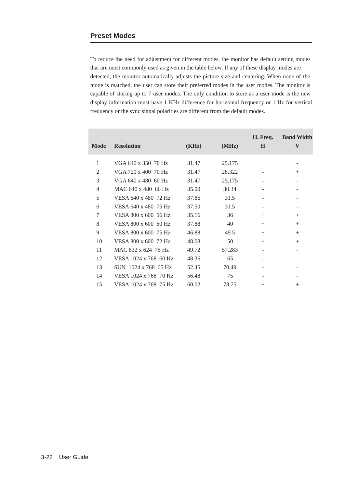To reduce the need for adjustment for different modes, the monitor has default setting modes that are most commonly used as given in the table below. If any of these display modes are detected, the monitor automatically adjusts the picture size and centering. When none of the mode is matched, the user can store their preferred modes in the user modes. The monitor is capable of storing up to 7 user modes. The only condition to store as a user mode is the new display information must have 1 KHz difference for horizontal frequency or 1 Hz for vertical frequency or the sync signal polarities are different from the default modes.

| Mode           | <b>Resolution</b>     | (KHz) | (MHz)  | H. Freq.<br>$\bf H$ | <b>Band Width</b><br>V |
|----------------|-----------------------|-------|--------|---------------------|------------------------|
| 1              | VGA 640 x 350 70 Hz   | 31.47 | 25.175 | $+$                 |                        |
| $\overline{2}$ | VGA 720 x 400 70 Hz   | 31.47 | 28.322 |                     | $^{+}$                 |
| 3              | VGA 640 x 480 60 Hz   | 31.47 | 25.175 |                     |                        |
| $\overline{4}$ | MAC 640 x 480 66 Hz   | 35.00 | 30.34  |                     |                        |
| 5              | VESA 640 x 480 72 Hz  | 37.86 | 31.5   |                     |                        |
| 6              | VESA 640 x 480 75 Hz  | 37.50 | 31.5   |                     |                        |
| 7              | VESA 800 x 600 56 Hz  | 35.16 | 36     | $^{+}$              | $^{+}$                 |
| 8              | VESA 800 x 600 60 Hz  | 37.88 | 40     | $^{+}$              | $^{+}$                 |
| 9              | VESA 800 x 600 75 Hz  | 46.88 | 49.5   | $^{+}$              | $^{+}$                 |
| 10             | VESA 800 x 600 72 Hz  | 48.08 | 50     | $^{+}$              | $^{+}$                 |
| 11             | MAC 832 x 624 75 Hz   | 49.72 | 57.283 |                     |                        |
| 12             | VESA 1024 x 768 60 Hz | 48.36 | 65     |                     |                        |
| 13             | SUN 1024 x 768 65 Hz  | 52.45 | 70.49  |                     |                        |
| 14             | VESA 1024 x 768 70 Hz | 56.48 | 75     |                     |                        |
| 15             | VESA 1024 x 768 75 Hz | 60.02 | 78.75  | $^{+}$              | $^{+}$                 |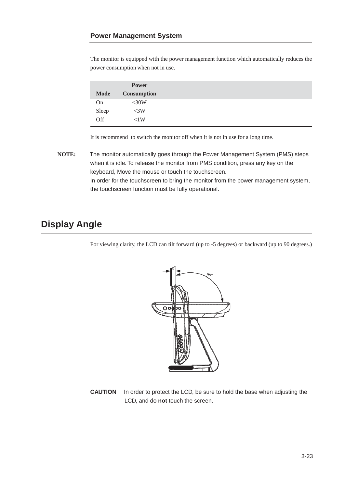The monitor is equipped with the power management function which automatically reduces the power consumption when not in use.

|             | <b>Power</b>       |
|-------------|--------------------|
| <b>Mode</b> | <b>Consumption</b> |
| On          | $<$ 30W            |
| Sleep       | $\langle$ 3W       |
| Off         | < 1W               |

It is recommend to switch the monitor off when it is not in use for a long time.

**NOTE:** The monitor automatically goes through the Power Management System (PMS) steps when it is idle. To release the monitor from PMS condition, press any key on the keyboard, Move the mouse or touch the touchscreen. In order for the touchscreen to bring the monitor from the power management system, the touchscreen function must be fully operational.

### **Display Angle**

For viewing clarity, the LCD can tilt forward (up to -5 degrees) or backward (up to 90 degrees.)



**CAUTION** In order to protect the LCD, be sure to hold the base when adjusting the LCD, and do **not** touch the screen.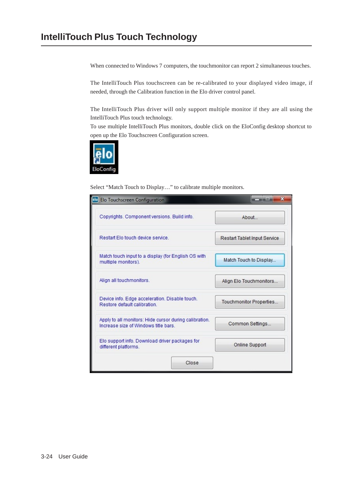When connected to Windows 7 computers, the touchmonitor can report 2 simultaneous touches.

The IntelliTouch Plus touchscreen can be re-calibrated to your displayed video image, if needed, through the Calibration function in the Elo driver control panel.

The IntelliTouch Plus driver will only support multiple monitor if they are all using the IntelliTouch Plus touch technology.

To use multiple IntelliTouch Plus monitors, double click on the EloConfig desktop shortcut to open up the Elo Touchscreen Configuration screen.



Select "Match Touch to Display…" to calibrate multiple monitors.

| elo Elo Touchscreen Configuration                                                             | 33                                  |
|-----------------------------------------------------------------------------------------------|-------------------------------------|
| Copyrights, Component versions, Build info.                                                   | About.                              |
| Restart Flo touch device service                                                              | <b>Restart Tablet Input Service</b> |
| Match touch input to a display (for English OS with<br>multiple monitors).                    | Match Touch to Display              |
| Align all touchmonitors.                                                                      | Align Elo Touchmonitors             |
| Device info. Edge acceleration. Disable touch.<br>Restore default calibration                 | Touchmonitor Properties             |
| Apply to all monitors: Hide cursor during calibration.<br>Increase size of Windows fitle bars | Common Settings                     |
| Elo support info. Download driver packages for<br>different platforms.                        | Online Support                      |
| Close                                                                                         |                                     |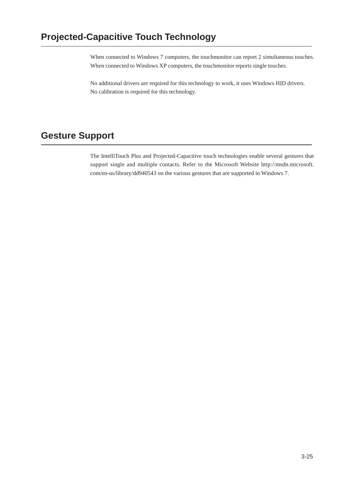When connected to Windows 7 computers, the touchmonitor can report 2 simultaneous touches. When connected to Windows XP computers, the touchmonitor reports single touches.

No additional drivers are required for this technology to work, it uses Windows HID drivers. No calibration is required for this technology.

### **Gesture Support**

The IntelliTouch Plus and Projected-Capacitive touch technologies enable several gestures that support single and multiple contacts. Refer to the Microsoft Website [http://msdn.microsoft.](http://msdn.microsoft/)  com/en-us/library/dd940543 on the various gestures that are supported in Windows 7.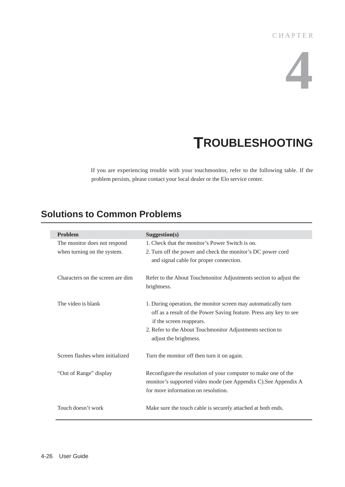# **4**

# **TROUBLESHOOTING**

If you are experiencing trouble with your touchmonitor, refer to the following table. If the problem persists, please contact your local dealer or the Elo service center.

### **Solutions to Common Problems**

| Problem                          | Suggestion(s)                                                     |
|----------------------------------|-------------------------------------------------------------------|
|                                  |                                                                   |
| The monitor does not respond     | 1. Check that the monitor's Power Switch is on.                   |
| when turning on the system.      | 2. Turn off the power and check the monitor's DC power cord       |
|                                  | and signal cable for proper connection.                           |
|                                  |                                                                   |
| Characters on the screen are dim | Refer to the About Touchmonitor Adjustments section to adjust the |
|                                  |                                                                   |
|                                  | brightness.                                                       |
|                                  |                                                                   |
| The video is blank               | 1. During operation, the monitor screen may automatically turn    |
|                                  | off as a result of the Power Saving feature. Press any key to see |
|                                  | if the screen reappears.                                          |
|                                  | 2. Refer to the About Touchmonitor Adjustments section to         |
|                                  | adjust the brightness.                                            |
|                                  |                                                                   |
| Screen flashes when initialized  | Turn the monitor off then turn it on again.                       |
|                                  |                                                                   |
| "Out of Range" display           | Reconfigure the resolution of your computer to make one of the    |
|                                  |                                                                   |
|                                  | monitor's supported video mode (see Appendix C). See Appendix A   |
|                                  | for more information on resolution.                               |
|                                  |                                                                   |
| Touch doesn't work               | Make sure the touch cable is securely attached at both ends.      |
|                                  |                                                                   |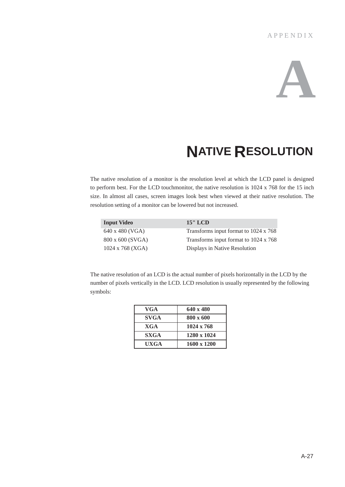### A P P E N D I X



# **NATIVE RESOLUTION**

The native resolution of a monitor is the resolution level at which the LCD panel is designed to perform best. For the LCD touchmonitor, the native resolution is 1024 x 768 for the 15 inch size. In almost all cases, screen images look best when viewed at their native resolution. The resolution setting of a monitor can be lowered but not increased.

| <b>Input Video</b>      | $15"$ LCD                             |
|-------------------------|---------------------------------------|
| 640 x 480 (VGA)         | Transforms input format to 1024 x 768 |
| 800 x 600 (SVGA)        | Transforms input format to 1024 x 768 |
| $1024 \times 768$ (XGA) | Displays in Native Resolution         |

The native resolution of an LCD is the actual number of pixels horizontally in the LCD by the number of pixels vertically in the LCD. LCD resolution is usually represented by the following symbols:

| VGA         | $640 \times 480$   |
|-------------|--------------------|
| <b>SVGA</b> | 800 x 600          |
| <b>XGA</b>  | $1024 \times 768$  |
| <b>SXGA</b> | 1280 x 1024        |
| UXGA        | $1600 \times 1200$ |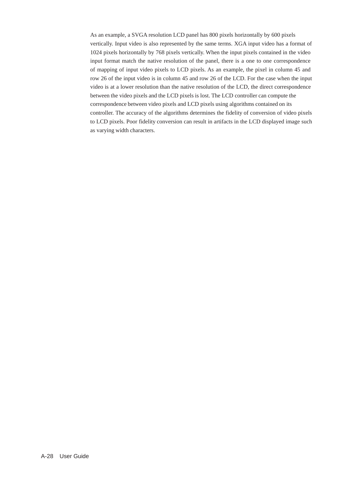As an example, a SVGA resolution LCD panel has 800 pixels horizontally by 600 pixels vertically. Input video is also represented by the same terms. XGA input video has a format of 1024 pixels horizontally by 768 pixels vertically. When the input pixels contained in the video input format match the native resolution of the panel, there is a one to one correspondence of mapping of input video pixels to LCD pixels. As an example, the pixel in column 45 and row 26 of the input video is in column 45 and row 26 of the LCD. For the case when the input video is at a lower resolution than the native resolution of the LCD, the direct correspondence between the video pixels and the LCD pixels is lost. The LCD controller can compute the correspondence between video pixels and LCD pixels using algorithms contained on its controller. The accuracy of the algorithms determines the fidelity of conversion of video pixels to LCD pixels. Poor fidelity conversion can result in artifacts in the LCD displayed image such as varying width characters.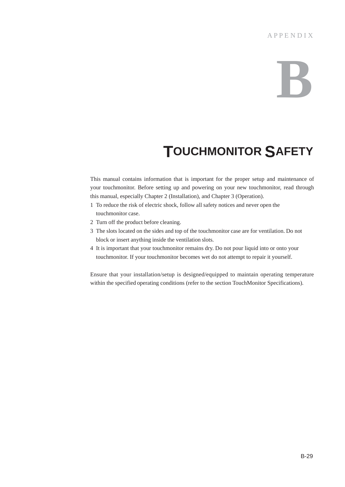# **B**

# **TOUCHMONITOR SAFETY**

This manual contains information that is important for the proper setup and maintenance of your touchmonitor. Before setting up and powering on your new touchmonitor, read through this manual, especially Chapter 2 (Installation), and Chapter 3 (Operation).

- 1 To reduce the risk of electric shock, follow all safety notices and never open the touchmonitor case.
- 2 Turn off the product before cleaning.
- 3 The slots located on the sides and top of the touchmonitor case are for ventilation. Do not block or insert anything inside the ventilation slots.
- 4 It is important that your touchmonitor remains dry. Do not pour liquid into or onto your touchmonitor. If your touchmonitor becomes wet do not attempt to repair it yourself.

Ensure that your installation/setup is designed/equipped to maintain operating temperature within the specified operating conditions (refer to the section TouchMonitor Specifications).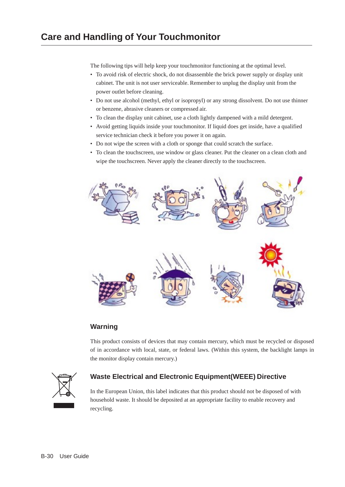The following tips will help keep your touchmonitor functioning at the optimal level.

- To avoid risk of electric shock, do not disassemble the brick power supply or display unit cabinet. The unit is not user serviceable. Remember to unplug the display unit from the power outlet before cleaning.
- Do not use alcohol (methyl, ethyl or isopropyl) or any strong dissolvent. Do not use thinner or benzene, abrasive cleaners or compressed air.
- To clean the display unit cabinet, use a cloth lightly dampened with a mild detergent.
- Avoid getting liquids inside your touchmonitor. If liquid does get inside, have a qualified service technician check it before you power it on again.
- Do not wipe the screen with a cloth or sponge that could scratch the surface.
- To clean the touchscreen, use window or glass cleaner. Put the cleaner on a clean cloth and wipe the touchscreen. Never apply the cleaner directly to the touchscreen.



### **Warning**

This product consists of devices that may contain mercury, which must be recycled or disposed of in accordance with local, state, or federal laws. (Within this system, the backlight lamps in the monitor display contain mercury.)



### **Waste Electrical and Electronic Equipment(WEEE) Directive**

In the European Union, this label indicates that this product should not be disposed of with household waste. It should be deposited at an appropriate facility to enable recovery and recycling.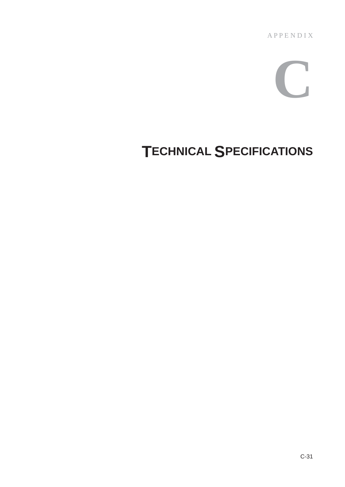A P P E N D I X

# **C**

# **TECHNICAL SPECIFICATIONS**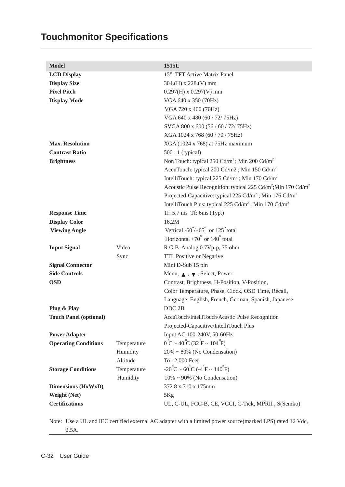## **Touchmonitor Specifications**

| <b>Model</b>                  |             | 1515L                                                                                 |
|-------------------------------|-------------|---------------------------------------------------------------------------------------|
| <b>LCD Display</b>            |             | 15" TFT Active Matrix Panel                                                           |
| <b>Display Size</b>           |             | $304.(H) \times 228.(V) \text{ mm}$                                                   |
| <b>Pixel Pitch</b>            |             | $0.297(H)$ x $0.297(V)$ mm                                                            |
| <b>Display Mode</b>           |             | VGA 640 x 350 (70Hz)                                                                  |
|                               |             | VGA 720 x 400 (70Hz)                                                                  |
|                               |             | VGA 640 x 480 (60 / 72/ 75Hz)                                                         |
|                               |             | SVGA 800 x 600 (56 / 60 / 72/ 75Hz)                                                   |
|                               |             | XGA 1024 x 768 (60 / 70 / 75Hz)                                                       |
| <b>Max. Resolution</b>        |             | XGA (1024 x 768) at 75Hz maximum                                                      |
| <b>Contrast Ratio</b>         |             | $500:1$ (typical)                                                                     |
| <b>Brightness</b>             |             | Non Touch: typical $250 \text{ Cd/m}^2$ ; Min $200 \text{Cd/m}^2$                     |
|                               |             | AccuTouch: typical 200 Cd/m2; Min 150 Cd/m <sup>2</sup>                               |
|                               |             | IntelliTouch: typical 225 $Cd/m^2$ ; Min 170 $Cd/m^2$                                 |
|                               |             | Acoustic Pulse Recognition: typical 225 Cd/m <sup>2</sup> ; Min 170 Cd/m <sup>2</sup> |
|                               |             | Projected-Capacitive: typical 225 Cd/m <sup>2</sup> ; Min 176 Cd/m <sup>2</sup>       |
|                               |             | IntelliTouch Plus: typical 225 Cd/m <sup>2</sup> ; Min 170 Cd/m <sup>2</sup>          |
| <b>Response Time</b>          |             | Tr: 5.7 ms Tf: 6ms (Typ.)                                                             |
| <b>Display Color</b>          |             | 16.2M                                                                                 |
| <b>Viewing Angle</b>          |             | Vertical $-60^{\circ}/+65^{\circ}$ or $125^{\circ}$ total                             |
|                               |             | Horizontal +70 $\degree$ or 140 $\degree$ total                                       |
| <b>Input Signal</b>           | Video       | R.G.B. Analog 0.7Vp-p, 75 ohm                                                         |
|                               | Sync        | TTL Positive or Negative                                                              |
| <b>Signal Connector</b>       |             | Mini D-Sub 15 pin                                                                     |
| <b>Side Controls</b>          |             | Menu, $\bullet$ , $\bullet$ , Select, Power                                           |
| <b>OSD</b>                    |             | Contrast, Brightness, H-Position, V-Position,                                         |
|                               |             | Color Temperature, Phase, Clock, OSD Time, Recall,                                    |
|                               |             | Language: English, French, German, Spanish, Japanese                                  |
| Plug & Play                   |             | DDC 2B                                                                                |
| <b>Touch Panel (optional)</b> |             | AccuTouch/IntelliTouch/Acustic Pulse Recognition                                      |
|                               |             | Projected-Capacitive/IntelliTouch Plus                                                |
| <b>Power Adapter</b>          |             | Input AC 100-240V, 50-60Hz                                                            |
| <b>Operating Conditions</b>   | Temperature | $0^{\circ}C \sim 40^{\circ}C (32^{\circ}F \sim 104^{\circ}F)$                         |
|                               | Humidity    | $20\% \sim 80\%$ (No Condensation)                                                    |
|                               | Altitude    | To 12,000 Feet                                                                        |
| <b>Storage Conditions</b>     | Temperature | $-20^{\circ}$ C ~ 60 $^{\circ}$ C ( $-4^{\circ}$ F ~ 140 $^{\circ}$ F)                |
|                               | Humidity    | $10\% \sim 90\%$ (No Condensation)                                                    |
| <b>Dimensions (HxWxD)</b>     |             | 372.8 x 310 x 175mm                                                                   |
| <b>Weight (Net)</b>           |             | 5Kg                                                                                   |
| <b>Certifications</b>         |             | UL, C-UL, FCC-B, CE, VCCI, C-Tick, MPRII, S(Semko)                                    |

Note: Use a UL and IEC certified external AC adapter with a limited power source(marked LPS) rated 12 Vdc, 2.5A.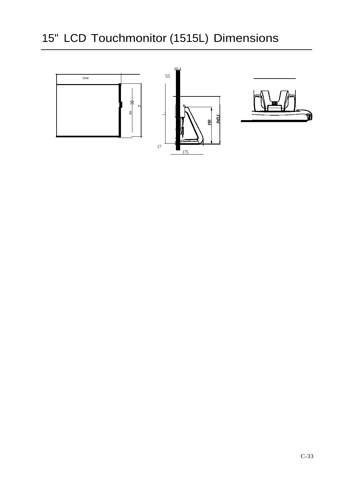# 15" LCD Touchmonitor (1515L) Dimensions

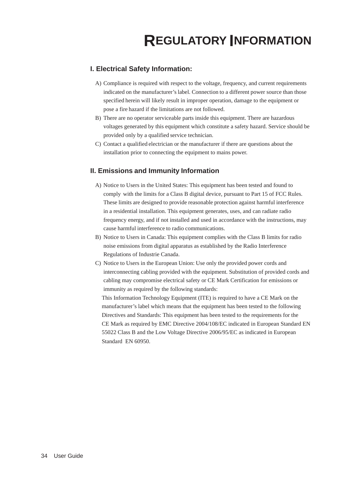### **I. Electrical Safety Information:**

- A) Compliance is required with respect to the voltage, frequency, and current requirements indicated on the manufacturer's label. Connection to a different power source than those specified herein will likely result in improper operation, damage to the equipment or pose a fire hazard if the limitations are not followed.
- B) There are no operator serviceable parts inside this equipment. There are hazardous voltages generated by this equipment which constitute a safety hazard. Service should be provided only by a qualified service technician.
- C) Contact a qualified electrician or the manufacturer if there are questions about the installation prior to connecting the equipment to mains power.

### **II. Emissions and Immunity Information**

- A) Notice to Users in the United States: This equipment has been tested and found to comply with the limits for a Class B digital device, pursuant to Part 15 of FCC Rules. These limits are designed to provide reasonable protection against harmful interference in a residential installation. This equipment generates, uses, and can radiate radio frequency energy, and if not installed and used in accordance with the instructions, may cause harmful interference to radio communications.
- B) Notice to Users in Canada: This equipment complies with the Class B limits for radio noise emissions from digital apparatus as established by the Radio Interference Regulations of Industrie Canada.
- C) Notice to Users in the European Union: Use only the provided power cords and interconnecting cabling provided with the equipment. Substitution of provided cords and cabling may compromise electrical safety or CE Mark Certification for emissions or immunity as required by the following standards:

This Information Technology Equipment (ITE) is required to have a CE Mark on the manufacturer's label which means that the equipment has been tested to the following Directives and Standards: This equipment has been tested to the requirements for the CE Mark as required by EMC Directive 2004/108/EC indicated in European Standard EN 55022 Class B and the Low Voltage Directive 2006/95/EC as indicated in European Standard EN 60950.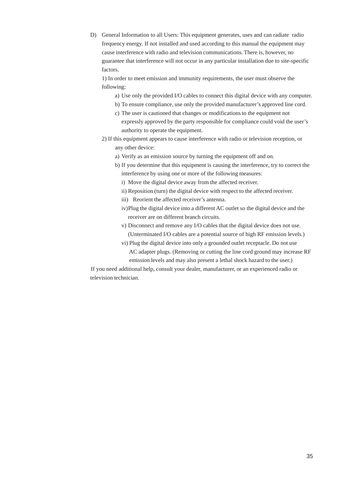D) General Information to all Users: This equipment generates, uses and can radiate radio frequency energy. If not installed and used according to this manual the equipment may cause interference with radio and television communications. There is, however, no guarantee that interference will not occur in any particular installation due to site-specific factors.

1) In order to meet emission and immunity requirements, the user must observe the following:

- a) Use only the provided I/O cables to connect this digital device with any computer.
- b) To ensure compliance, use only the provided manufacturer's approved line cord.
- c) The user is cautioned that changes or modifications to the equipment not expressly approved by the party responsible for compliance could void the user's authority to operate the equipment.
- 2) If this equipment appears to cause interference with radio or television reception, or any other device:
	- a) Verify as an emission source by turning the equipment off and on.
	- b) If you determine that this equipment is causing the interference, try to correct the interference by using one or more of the following measures:
		- i) Move the digital device away from the affected receiver.
		- ii) Reposition (turn) the digital device with respect to the affected receiver.
		- iii) Reorient the affected receiver's antenna.
		- iv)Plug the digital device into a different AC outlet so the digital device and the receiver are on different branch circuits.
		- v) Disconnect and remove any I/O cables that the digital device does not use. (Unterminated I/O cables are a potential source of high RF emission levels.)
		- vi) Plug the digital device into only a grounded outlet receptacle. Do not use AC adapter plugs. (Removing or cutting the line cord ground may increase RF emission levels and may also present a lethal shock hazard to the user.)

If you need additional help, consult your dealer, manufacturer, or an experienced radio or television technician.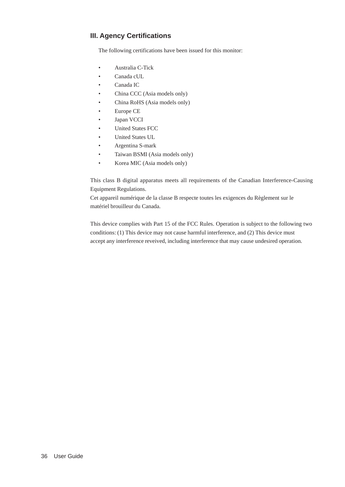### **III. Agency Certifications**

The following certifications have been issued for this monitor:

- Australia C-Tick
- Canada cUL
- Canada IC
- China CCC (Asia models only)
- China RoHS (Asia models only)
- Europe CE
- Japan VCCI
- United States FCC
- United States UL
- Argentina S-mark
- Taiwan BSMI (Asia models only)
- Korea MIC (Asia models only)

This class B digital apparatus meets all requirements of the Canadian Interference-Causing Equipment Regulations.

Cet appareil numérique de la classe B respecte toutes les exigences du Règlement sur le matériel brouilleur du Canada.

This device complies with Part 15 of the FCC Rules. Operation is subject to the following two conditions: (1) This device may not cause harmful interference, and (2) This device must accept any interference reveived, including interference that may cause undesired operation.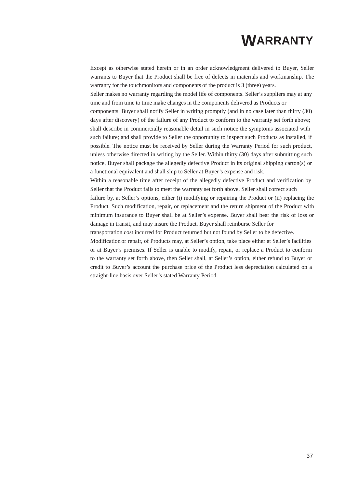# **WARRANTY**

Except as otherwise stated herein or in an order acknowledgment delivered to Buyer, Seller warrants to Buyer that the Product shall be free of defects in materials and workmanship. The warranty for the touchmonitors and components of the product is 3 (three) years. Seller makes no warranty regarding the model life of components. Seller's suppliers may at any time and from time to time make changes in the components delivered as Products or components. Buyer shall notify Seller in writing promptly (and in no case later than thirty (30) days after discovery) of the failure of any Product to conform to the warranty set forth above; shall describe in commercially reasonable detail in such notice the symptoms associated with such failure; and shall provide to Seller the opportunity to inspect such Products as installed, if possible. The notice must be received by Seller during the Warranty Period for such product, unless otherwise directed in writing by the Seller. Within thirty (30) days after submitting such notice, Buyer shall package the allegedly defective Product in its original shipping carton(s) or a functional equivalent and shall ship to Seller at Buyer's expense and risk. Within a reasonable time after receipt of the allegedly defective Product and verification by

Seller that the Product fails to meet the warranty set forth above, Seller shall correct such failure by, at Seller's options, either (i) modifying or repairing the Product or (ii) replacing the Product. Such modification, repair, or replacement and the return shipment of the Product with

minimum insurance to Buyer shall be at Seller's expense. Buyer shall bear the risk of loss or damage in transit, and may insure the Product. Buyer shall reimburse Seller for

transportation cost incurred for Product returned but not found by Seller to be defective.

Modification or repair, of Products may, at Seller's option, take place either at Seller's facilities or at Buyer's premises. If Seller is unable to modify, repair, or replace a Product to conform to the warranty set forth above, then Seller shall, at Seller's option, either refund to Buyer or credit to Buyer's account the purchase price of the Product less depreciation calculated on a straight-line basis over Seller's stated Warranty Period.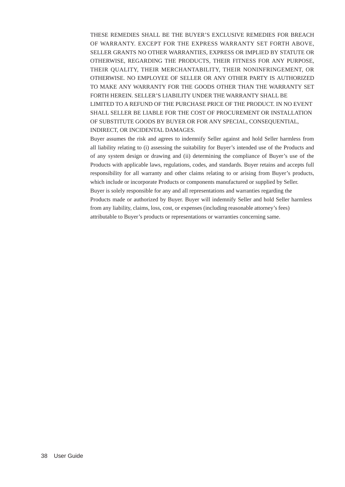THESE REMEDIES SHALL BE THE BUYER'S EXCLUSIVE REMEDIES FOR BREACH OF WARRANTY. EXCEPT FOR THE EXPRESS WARRANTY SET FORTH ABOVE, SELLER GRANTS NO OTHER WARRANTIES, EXPRESS OR IMPLIED BY STATUTE OR OTHERWISE, REGARDING THE PRODUCTS, THEIR FITNESS FOR ANY PURPOSE, THEIR QUALITY, THEIR MERCHANTABILITY, THEIR NONINFRINGEMENT, OR OTHERWISE. NO EMPLOYEE OF SELLER OR ANY OTHER PARTY IS AUTHORIZED TO MAKE ANY WARRANTY FOR THE GOODS OTHER THAN THE WARRANTY SET FORTH HEREIN. SELLER'S LIABILITY UNDER THE WARRANTY SHALL BE LIMITED TO A REFUND OF THE PURCHASE PRICE OF THE PRODUCT. IN NO EVENT SHALL SELLER BE LIABLE FOR THE COST OF PROCUREMENT OR INSTALLATION OF SUBSTITUTE GOODS BY BUYER OR FOR ANY SPECIAL, CONSEQUENTIAL, INDIRECT, OR INCIDENTAL DAMAGES.

Buyer assumes the risk and agrees to indemnify Seller against and hold Seller harmless from all liability relating to (i) assessing the suitability for Buyer's intended use of the Products and of any system design or drawing and (ii) determining the compliance of Buyer's use of the Products with applicable laws, regulations, codes, and standards. Buyer retains and accepts full responsibility for all warranty and other claims relating to or arising from Buyer's products, which include or incorporate Products or components manufactured or supplied by Seller. Buyer is solely responsible for any and all representations and warranties regarding the Products made or authorized by Buyer. Buyer will indemnify Seller and hold Seller harmless from any liability, claims, loss, cost, or expenses (including reasonable attorney's fees) attributable to Buyer's products or representations or warranties concerning same.